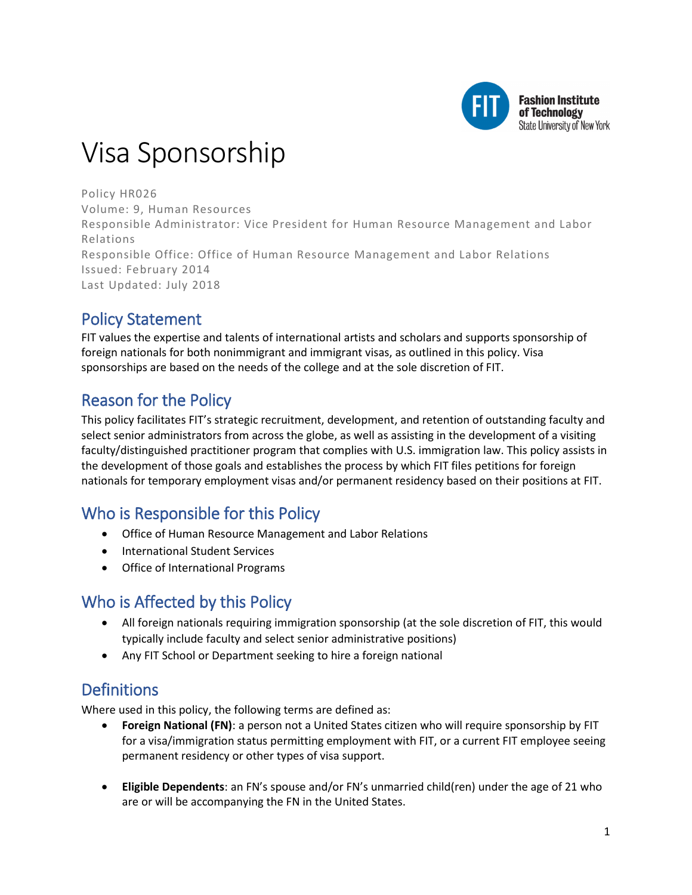

# Visa Sponsorship

Policy HR026 Volume: 9, Human Resources Responsible Administrator: Vice President for Human Resource Management and Labor Relations Responsible Office: Office of Human Resource Management and Labor Relations Issued: February 2014 Last Updated: July 2018

# Policy Statement

FIT values the expertise and talents of international artists and scholars and supports sponsorship of foreign nationals for both nonimmigrant and immigrant visas, as outlined in this policy. Visa sponsorships are based on the needs of the college and at the sole discretion of FIT.

# Reason for the Policy

This policy facilitates FIT's strategic recruitment, development, and retention of outstanding faculty and select senior administrators from across the globe, as well as assisting in the development of a visiting faculty/distinguished practitioner program that complies with U.S. immigration law. This policy assists in the development of those goals and establishes the process by which FIT files petitions for foreign nationals for temporary employment visas and/or permanent residency based on their positions at FIT.

# Who is Responsible for this Policy

- Office of Human Resource Management and Labor Relations
- International Student Services
- Office of International Programs

# Who is Affected by this Policy

- All foreign nationals requiring immigration sponsorship (at the sole discretion of FIT, this would typically include faculty and select senior administrative positions)
- Any FIT School or Department seeking to hire a foreign national

# **Definitions**

Where used in this policy, the following terms are defined as:

- **Foreign National (FN)**: a person not a United States citizen who will require sponsorship by FIT for a visa/immigration status permitting employment with FIT, or a current FIT employee seeing permanent residency or other types of visa support.
- **Eligible Dependents**: an FN's spouse and/or FN's unmarried child(ren) under the age of 21 who are or will be accompanying the FN in the United States.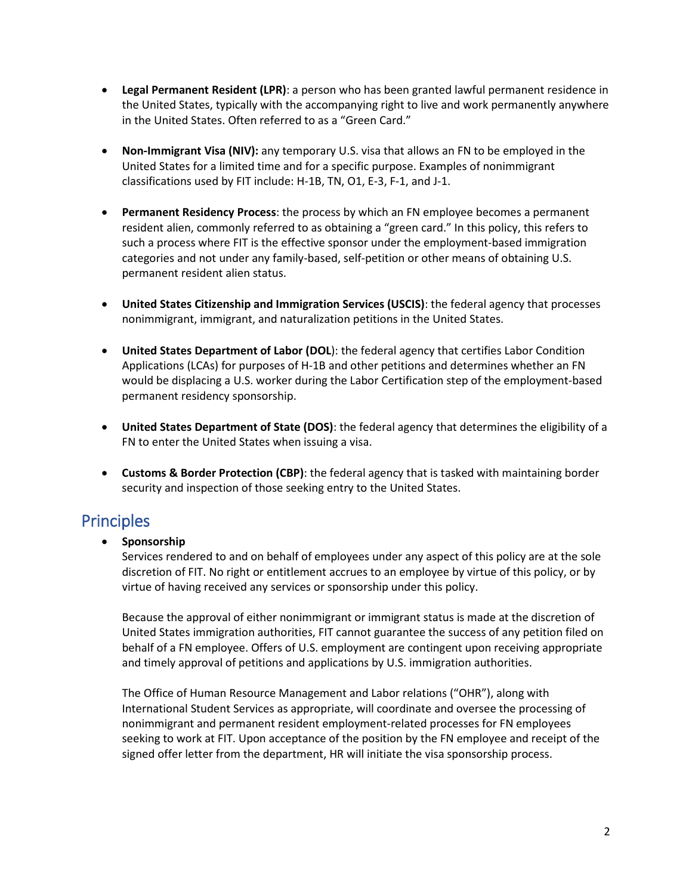- **Legal Permanent Resident (LPR)**: a person who has been granted lawful permanent residence in the United States, typically with the accompanying right to live and work permanently anywhere in the United States. Often referred to as a "Green Card."
- **Non-Immigrant Visa (NIV):** any temporary U.S. visa that allows an FN to be employed in the United States for a limited time and for a specific purpose. Examples of nonimmigrant classifications used by FIT include: H-1B, TN, O1, E-3, F-1, and J-1.
- **Permanent Residency Process**: the process by which an FN employee becomes a permanent resident alien, commonly referred to as obtaining a "green card." In this policy, this refers to such a process where FIT is the effective sponsor under the employment-based immigration categories and not under any family-based, self-petition or other means of obtaining U.S. permanent resident alien status.
- **United States Citizenship and Immigration Services (USCIS)**: the federal agency that processes nonimmigrant, immigrant, and naturalization petitions in the United States.
- **United States Department of Labor (DOL**): the federal agency that certifies Labor Condition Applications (LCAs) for purposes of H-1B and other petitions and determines whether an FN would be displacing a U.S. worker during the Labor Certification step of the employment-based permanent residency sponsorship.
- **United States Department of State (DOS)**: the federal agency that determines the eligibility of a FN to enter the United States when issuing a visa.
- **Customs & Border Protection (CBP)**: the federal agency that is tasked with maintaining border security and inspection of those seeking entry to the United States.

### Principles

• **Sponsorship**

Services rendered to and on behalf of employees under any aspect of this policy are at the sole discretion of FIT. No right or entitlement accrues to an employee by virtue of this policy, or by virtue of having received any services or sponsorship under this policy.

Because the approval of either nonimmigrant or immigrant status is made at the discretion of United States immigration authorities, FIT cannot guarantee the success of any petition filed on behalf of a FN employee. Offers of U.S. employment are contingent upon receiving appropriate and timely approval of petitions and applications by U.S. immigration authorities.

The Office of Human Resource Management and Labor relations ("OHR"), along with International Student Services as appropriate, will coordinate and oversee the processing of nonimmigrant and permanent resident employment-related processes for FN employees seeking to work at FIT. Upon acceptance of the position by the FN employee and receipt of the signed offer letter from the department, HR will initiate the visa sponsorship process.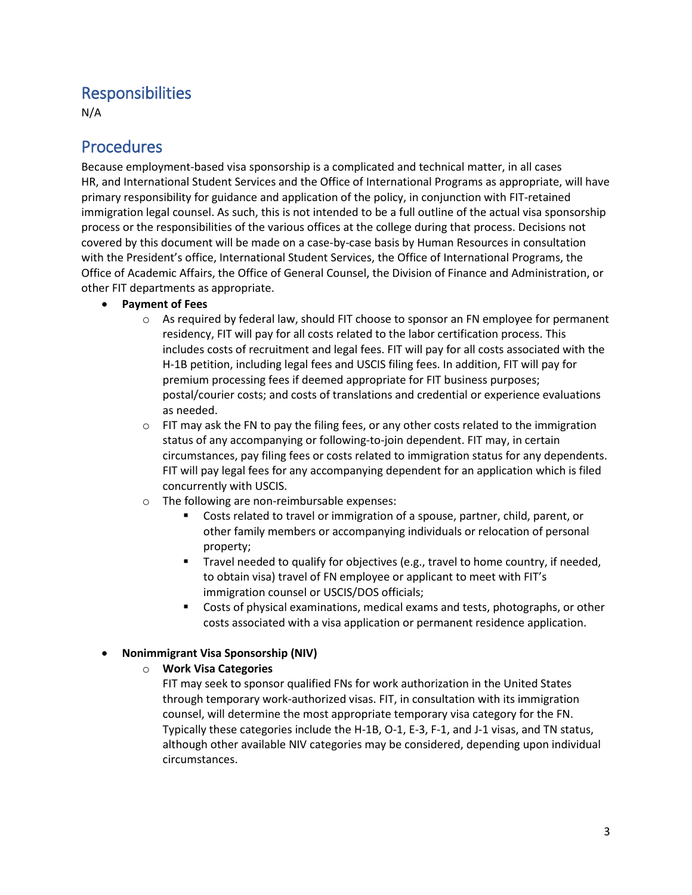### Responsibilities

N/A

### **Procedures**

Because employment-based visa sponsorship is a complicated and technical matter, in all cases HR, and International Student Services and the Office of International Programs as appropriate, will have primary responsibility for guidance and application of the policy, in conjunction with FIT-retained immigration legal counsel. As such, this is not intended to be a full outline of the actual visa sponsorship process or the responsibilities of the various offices at the college during that process. Decisions not covered by this document will be made on a case-by-case basis by Human Resources in consultation with the President's office, International Student Services, the Office of International Programs, the Office of Academic Affairs, the Office of General Counsel, the Division of Finance and Administration, or other FIT departments as appropriate.

- **Payment of Fees**
	- $\circ$  As required by federal law, should FIT choose to sponsor an FN employee for permanent residency, FIT will pay for all costs related to the labor certification process. This includes costs of recruitment and legal fees. FIT will pay for all costs associated with the H-1B petition, including legal fees and USCIS filing fees. In addition, FIT will pay for premium processing fees if deemed appropriate for FIT business purposes; postal/courier costs; and costs of translations and credential or experience evaluations as needed.
	- $\circ$  FIT may ask the FN to pay the filing fees, or any other costs related to the immigration status of any accompanying or following-to-join dependent. FIT may, in certain circumstances, pay filing fees or costs related to immigration status for any dependents. FIT will pay legal fees for any accompanying dependent for an application which is filed concurrently with USCIS.
	- o The following are non-reimbursable expenses:
		- Costs related to travel or immigration of a spouse, partner, child, parent, or other family members or accompanying individuals or relocation of personal property;
		- **Travel needed to qualify for objectives (e.g., travel to home country, if needed,** to obtain visa) travel of FN employee or applicant to meet with FIT's immigration counsel or USCIS/DOS officials;
		- Costs of physical examinations, medical exams and tests, photographs, or other costs associated with a visa application or permanent residence application.

#### • **Nonimmigrant Visa Sponsorship (NIV)**

o **Work Visa Categories**

FIT may seek to sponsor qualified FNs for work authorization in the United States through temporary work-authorized visas. FIT, in consultation with its immigration counsel, will determine the most appropriate temporary visa category for the FN. Typically these categories include the H-1B, O-1, E-3, F-1, and J-1 visas, and TN status, although other available NIV categories may be considered, depending upon individual circumstances.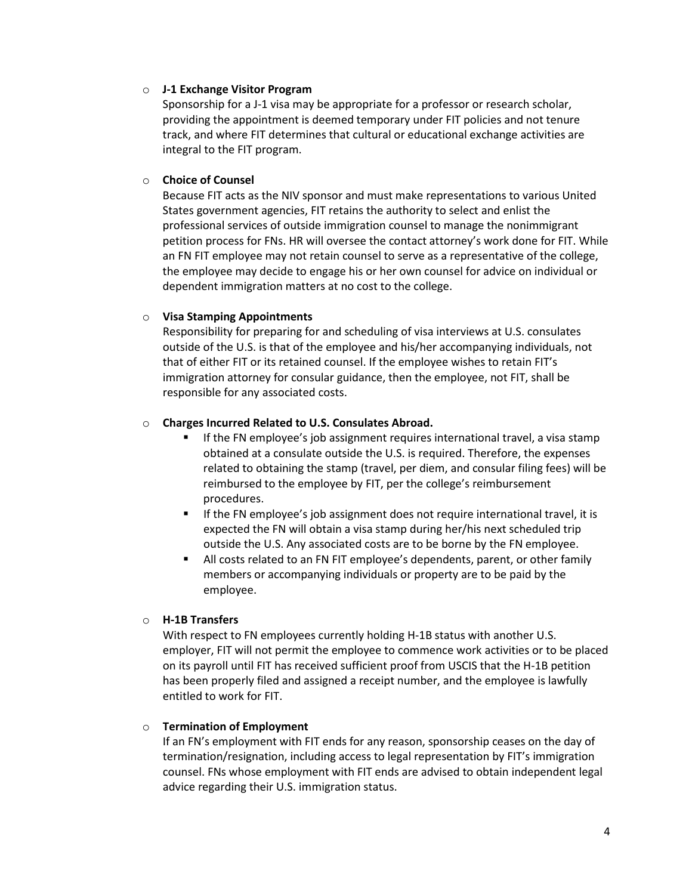#### o **J-1 Exchange Visitor Program**

Sponsorship for a J-1 visa may be appropriate for a professor or research scholar, providing the appointment is deemed temporary under FIT policies and not tenure track, and where FIT determines that cultural or educational exchange activities are integral to the FIT program.

#### o **Choice of Counsel**

Because FIT acts as the NIV sponsor and must make representations to various United States government agencies, FIT retains the authority to select and enlist the professional services of outside immigration counsel to manage the nonimmigrant petition process for FNs. HR will oversee the contact attorney's work done for FIT. While an FN FIT employee may not retain counsel to serve as a representative of the college, the employee may decide to engage his or her own counsel for advice on individual or dependent immigration matters at no cost to the college.

#### o **Visa Stamping Appointments**

Responsibility for preparing for and scheduling of visa interviews at U.S. consulates outside of the U.S. is that of the employee and his/her accompanying individuals, not that of either FIT or its retained counsel. If the employee wishes to retain FIT's immigration attorney for consular guidance, then the employee, not FIT, shall be responsible for any associated costs.

#### o **Charges Incurred Related to U.S. Consulates Abroad.**

- If the FN employee's job assignment requires international travel, a visa stamp obtained at a consulate outside the U.S. is required. Therefore, the expenses related to obtaining the stamp (travel, per diem, and consular filing fees) will be reimbursed to the employee by FIT, per the college's reimbursement procedures.
- If the FN employee's job assignment does not require international travel, it is expected the FN will obtain a visa stamp during her/his next scheduled trip outside the U.S. Any associated costs are to be borne by the FN employee.
- All costs related to an FN FIT employee's dependents, parent, or other family members or accompanying individuals or property are to be paid by the employee.

#### o **H-1B Transfers**

With respect to FN employees currently holding H-1B status with another U.S. employer, FIT will not permit the employee to commence work activities or to be placed on its payroll until FIT has received sufficient proof from USCIS that the H-1B petition has been properly filed and assigned a receipt number, and the employee is lawfully entitled to work for FIT.

#### o **Termination of Employment**

If an FN's employment with FIT ends for any reason, sponsorship ceases on the day of termination/resignation, including access to legal representation by FIT's immigration counsel. FNs whose employment with FIT ends are advised to obtain independent legal advice regarding their U.S. immigration status.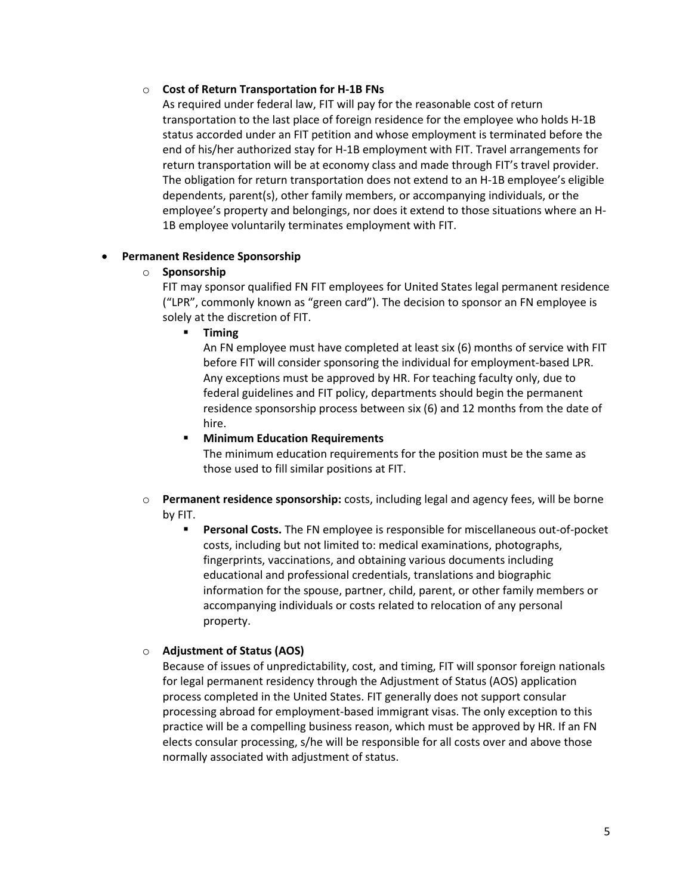#### o **Cost of Return Transportation for H-1B FNs**

As required under federal law, FIT will pay for the reasonable cost of return transportation to the last place of foreign residence for the employee who holds H-1B status accorded under an FIT petition and whose employment is terminated before the end of his/her authorized stay for H-1B employment with FIT. Travel arrangements for return transportation will be at economy class and made through FIT's travel provider. The obligation for return transportation does not extend to an H-1B employee's eligible dependents, parent(s), other family members, or accompanying individuals, or the employee's property and belongings, nor does it extend to those situations where an H-1B employee voluntarily terminates employment with FIT.

#### • **Permanent Residence Sponsorship**

#### o **Sponsorship**

FIT may sponsor qualified FN FIT employees for United States legal permanent residence ("LPR", commonly known as "green card"). The decision to sponsor an FN employee is solely at the discretion of FIT.

**Timing**

An FN employee must have completed at least six (6) months of service with FIT before FIT will consider sponsoring the individual for employment-based LPR. Any exceptions must be approved by HR. For teaching faculty only, due to federal guidelines and FIT policy, departments should begin the permanent residence sponsorship process between six (6) and 12 months from the date of hire.

#### **Minimum Education Requirements**

The minimum education requirements for the position must be the same as those used to fill similar positions at FIT.

#### o **Permanent residence sponsorship:** costs, including legal and agency fees, will be borne by FIT.

 **Personal Costs.** The FN employee is responsible for miscellaneous out-of-pocket costs, including but not limited to: medical examinations, photographs, fingerprints, vaccinations, and obtaining various documents including educational and professional credentials, translations and biographic information for the spouse, partner, child, parent, or other family members or accompanying individuals or costs related to relocation of any personal property.

#### o **Adjustment of Status (AOS)**

Because of issues of unpredictability, cost, and timing, FIT will sponsor foreign nationals for legal permanent residency through the Adjustment of Status (AOS) application process completed in the United States. FIT generally does not support consular processing abroad for employment-based immigrant visas. The only exception to this practice will be a compelling business reason, which must be approved by HR. If an FN elects consular processing, s/he will be responsible for all costs over and above those normally associated with adjustment of status.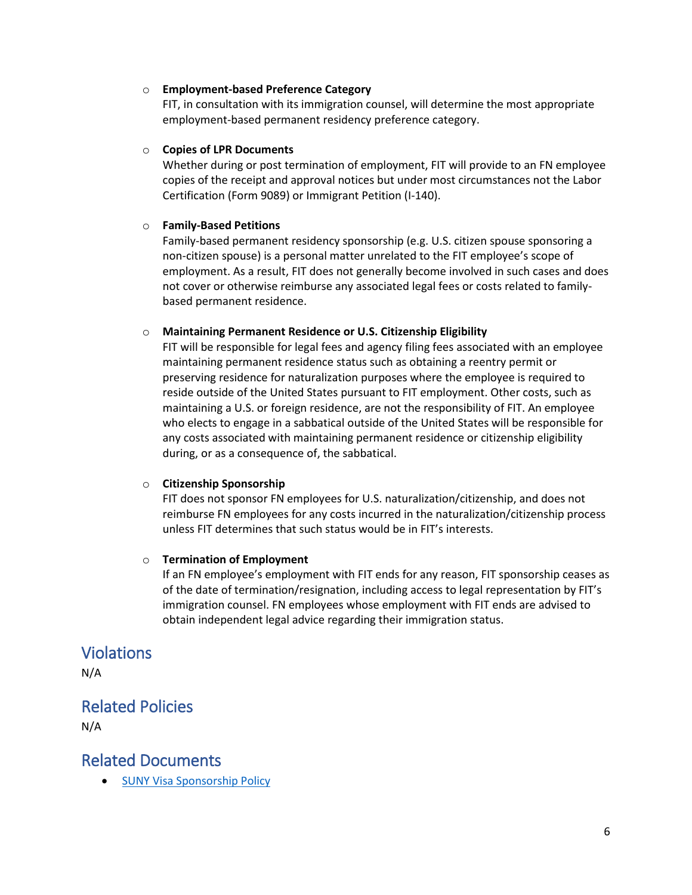#### o **Employment-based Preference Category**

FIT, in consultation with its immigration counsel, will determine the most appropriate employment-based permanent residency preference category.

#### o **Copies of LPR Documents**

Whether during or post termination of employment, FIT will provide to an FN employee copies of the receipt and approval notices but under most circumstances not the Labor Certification (Form 9089) or Immigrant Petition (I-140).

#### o **Family-Based Petitions**

Family-based permanent residency sponsorship (e.g. U.S. citizen spouse sponsoring a non-citizen spouse) is a personal matter unrelated to the FIT employee's scope of employment. As a result, FIT does not generally become involved in such cases and does not cover or otherwise reimburse any associated legal fees or costs related to familybased permanent residence.

#### o **Maintaining Permanent Residence or U.S. Citizenship Eligibility**

FIT will be responsible for legal fees and agency filing fees associated with an employee maintaining permanent residence status such as obtaining a reentry permit or preserving residence for naturalization purposes where the employee is required to reside outside of the United States pursuant to FIT employment. Other costs, such as maintaining a U.S. or foreign residence, are not the responsibility of FIT. An employee who elects to engage in a sabbatical outside of the United States will be responsible for any costs associated with maintaining permanent residence or citizenship eligibility during, or as a consequence of, the sabbatical.

#### o **Citizenship Sponsorship**

FIT does not sponsor FN employees for U.S. naturalization/citizenship, and does not reimburse FN employees for any costs incurred in the naturalization/citizenship process unless FIT determines that such status would be in FIT's interests.

#### o **Termination of Employment**

If an FN employee's employment with FIT ends for any reason, FIT sponsorship ceases as of the date of termination/resignation, including access to legal representation by FIT's immigration counsel. FN employees whose employment with FIT ends are advised to obtain independent legal advice regarding their immigration status.

### Violations

N/A

### Related Policies

N/A

### Related Documents

• [SUNY Visa Sponsorship](https://www.suny.edu/sunypp/documents.cfm?doc_id=418) Policy